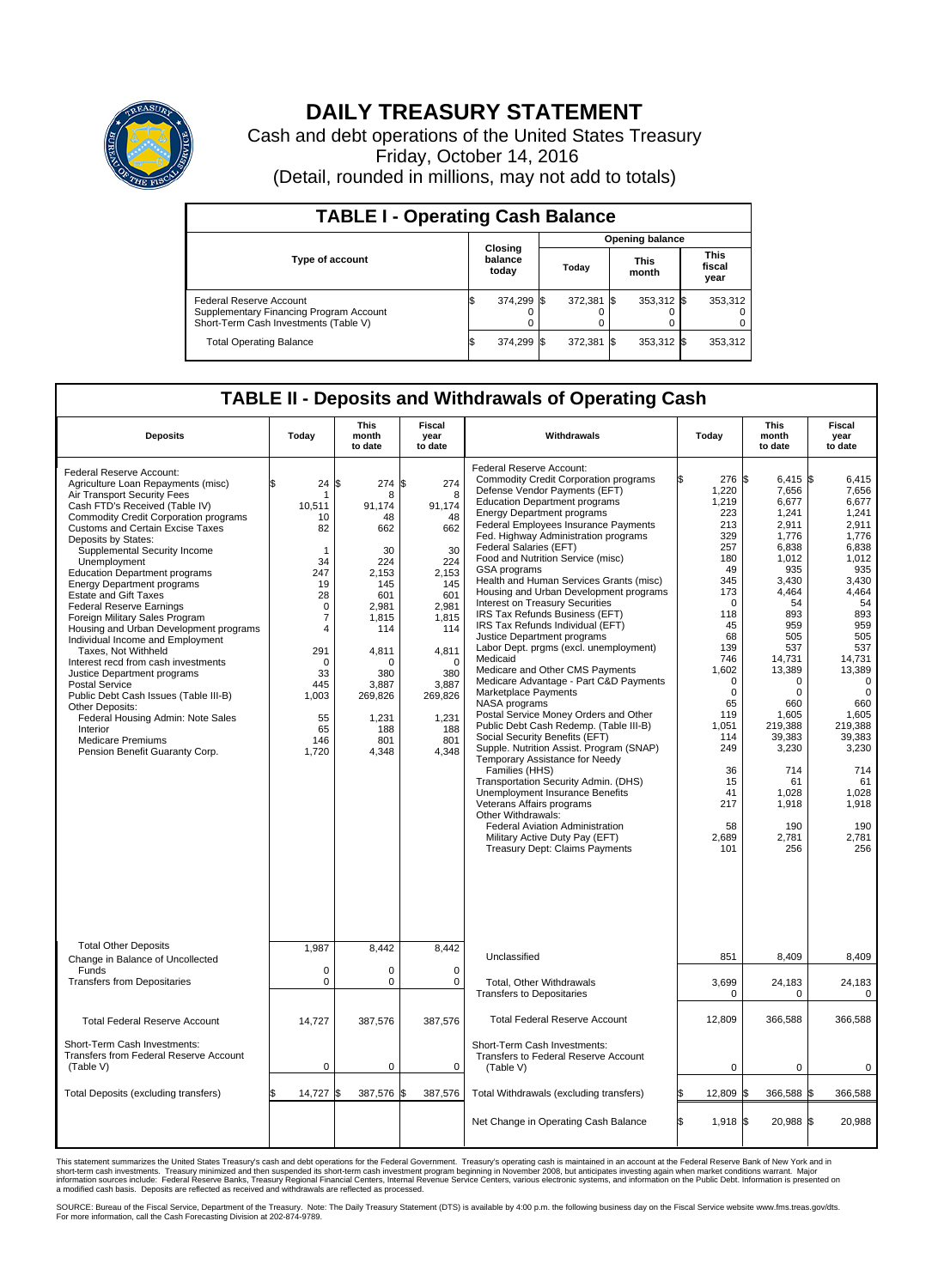

## **DAILY TREASURY STATEMENT**

Cash and debt operations of the United States Treasury Friday, October 14, 2016 (Detail, rounded in millions, may not add to totals)

| <b>TABLE I - Operating Cash Balance</b>                                                                     |    |                             |                        |         |           |                      |  |                               |  |
|-------------------------------------------------------------------------------------------------------------|----|-----------------------------|------------------------|---------|-----------|----------------------|--|-------------------------------|--|
|                                                                                                             |    |                             | <b>Opening balance</b> |         |           |                      |  |                               |  |
| Type of account                                                                                             |    | Closing<br>balance<br>today |                        | Today   |           | <b>This</b><br>month |  | <b>This</b><br>fiscal<br>year |  |
| Federal Reserve Account<br>Supplementary Financing Program Account<br>Short-Term Cash Investments (Table V) |    | 374,299                     |                        | 372,381 | <b>IS</b> | 353,312 \$           |  | 353,312                       |  |
| <b>Total Operating Balance</b>                                                                              | ß. | 374,299                     |                        | 372,381 | <b>IS</b> | 353,312 \$           |  | 353,312                       |  |

## **TABLE II - Deposits and Withdrawals of Operating Cash**

| <b>Deposits</b>                                                                                                                                                                                                                                                                                                                                                                                                                                                                                                                                                                                                                                                                                                                                                                                                                                                    | Today                                                                                                                                                                                        | <b>This</b><br>month<br>to date                                                                                                                                                        | Fiscal<br>year<br>to date                                                                                                                                                       | Withdrawals                                                                                                                                                                                                                                                                                                                                                                                                                                                                                                                                                                                                                                                                                                                                                                                                                                                                                                                                                                                                                                                                                                                                                                                                                            |    | Today                                                                                                                                                                                                                                                  | <b>This</b><br>month<br>to date                                                                                                                                                                                                                                                       | Fiscal<br>year<br>to date                                                                                                                                                                                                                                                             |
|--------------------------------------------------------------------------------------------------------------------------------------------------------------------------------------------------------------------------------------------------------------------------------------------------------------------------------------------------------------------------------------------------------------------------------------------------------------------------------------------------------------------------------------------------------------------------------------------------------------------------------------------------------------------------------------------------------------------------------------------------------------------------------------------------------------------------------------------------------------------|----------------------------------------------------------------------------------------------------------------------------------------------------------------------------------------------|----------------------------------------------------------------------------------------------------------------------------------------------------------------------------------------|---------------------------------------------------------------------------------------------------------------------------------------------------------------------------------|----------------------------------------------------------------------------------------------------------------------------------------------------------------------------------------------------------------------------------------------------------------------------------------------------------------------------------------------------------------------------------------------------------------------------------------------------------------------------------------------------------------------------------------------------------------------------------------------------------------------------------------------------------------------------------------------------------------------------------------------------------------------------------------------------------------------------------------------------------------------------------------------------------------------------------------------------------------------------------------------------------------------------------------------------------------------------------------------------------------------------------------------------------------------------------------------------------------------------------------|----|--------------------------------------------------------------------------------------------------------------------------------------------------------------------------------------------------------------------------------------------------------|---------------------------------------------------------------------------------------------------------------------------------------------------------------------------------------------------------------------------------------------------------------------------------------|---------------------------------------------------------------------------------------------------------------------------------------------------------------------------------------------------------------------------------------------------------------------------------------|
| Federal Reserve Account:<br>Agriculture Loan Repayments (misc)<br>Air Transport Security Fees<br>Cash FTD's Received (Table IV)<br><b>Commodity Credit Corporation programs</b><br><b>Customs and Certain Excise Taxes</b><br>Deposits by States:<br>Supplemental Security Income<br>Unemployment<br><b>Education Department programs</b><br><b>Energy Department programs</b><br><b>Estate and Gift Taxes</b><br><b>Federal Reserve Earnings</b><br>Foreign Military Sales Program<br>Housing and Urban Development programs<br>Individual Income and Employment<br>Taxes. Not Withheld<br>Interest recd from cash investments<br>Justice Department programs<br><b>Postal Service</b><br>Public Debt Cash Issues (Table III-B)<br>Other Deposits:<br>Federal Housing Admin: Note Sales<br>Interior<br><b>Medicare Premiums</b><br>Pension Benefit Guaranty Corp. | 24<br>10,511<br>10<br>82<br>$\mathbf{1}$<br>34<br>247<br>19<br>28<br>$\mathbf 0$<br>$\overline{7}$<br>$\overline{4}$<br>291<br>$\mathbf 0$<br>33<br>445<br>1,003<br>55<br>65<br>146<br>1,720 | l\$<br>274 \$<br>8<br>91,174<br>48<br>662<br>30<br>224<br>2,153<br>145<br>601<br>2.981<br>1,815<br>114<br>4,811<br>$\Omega$<br>380<br>3,887<br>269,826<br>1,231<br>188<br>801<br>4,348 | 274<br>8<br>91,174<br>48<br>662<br>30<br>224<br>2,153<br>145<br>601<br>2.981<br>1,815<br>114<br>4,811<br>$\mathbf 0$<br>380<br>3,887<br>269,826<br>1,231<br>188<br>801<br>4,348 | Federal Reserve Account:<br><b>Commodity Credit Corporation programs</b><br>Defense Vendor Payments (EFT)<br><b>Education Department programs</b><br><b>Energy Department programs</b><br>Federal Employees Insurance Payments<br>Fed. Highway Administration programs<br>Federal Salaries (EFT)<br>Food and Nutrition Service (misc)<br>GSA programs<br>Health and Human Services Grants (misc)<br>Housing and Urban Development programs<br>Interest on Treasury Securities<br>IRS Tax Refunds Business (EFT)<br>IRS Tax Refunds Individual (EFT)<br>Justice Department programs<br>Labor Dept. prgms (excl. unemployment)<br>Medicaid<br>Medicare and Other CMS Payments<br>Medicare Advantage - Part C&D Payments<br>Marketplace Payments<br>NASA programs<br>Postal Service Money Orders and Other<br>Public Debt Cash Redemp. (Table III-B)<br>Social Security Benefits (EFT)<br>Supple. Nutrition Assist. Program (SNAP)<br>Temporary Assistance for Needy<br>Families (HHS)<br>Transportation Security Admin. (DHS)<br><b>Unemployment Insurance Benefits</b><br>Veterans Affairs programs<br>Other Withdrawals:<br>Federal Aviation Administration<br>Military Active Duty Pay (EFT)<br><b>Treasury Dept: Claims Payments</b> |    | 276 \$<br>1,220<br>1,219<br>223<br>213<br>329<br>257<br>180<br>49<br>345<br>173<br>$\Omega$<br>118<br>45<br>68<br>139<br>746<br>1,602<br>$\mathbf 0$<br>$\mathbf 0$<br>65<br>119<br>1,051<br>114<br>249<br>36<br>15<br>41<br>217<br>58<br>2,689<br>101 | 6,415 \$<br>7,656<br>6,677<br>1.241<br>2,911<br>1,776<br>6,838<br>1.012<br>935<br>3,430<br>4.464<br>54<br>893<br>959<br>505<br>537<br>14,731<br>13,389<br>$\Omega$<br>$\mathbf 0$<br>660<br>1,605<br>219,388<br>39.383<br>3,230<br>714<br>61<br>1,028<br>1,918<br>190<br>2,781<br>256 | 6,415<br>7,656<br>6,677<br>1.241<br>2,911<br>1,776<br>6,838<br>1.012<br>935<br>3,430<br>4.464<br>54<br>893<br>959<br>505<br>537<br>14,731<br>13,389<br>$\mathbf 0$<br>$\mathbf 0$<br>660<br>1,605<br>219,388<br>39,383<br>3,230<br>714<br>61<br>1,028<br>1,918<br>190<br>2,781<br>256 |
| <b>Total Other Deposits</b><br>Change in Balance of Uncollected                                                                                                                                                                                                                                                                                                                                                                                                                                                                                                                                                                                                                                                                                                                                                                                                    | 1,987                                                                                                                                                                                        | 8,442                                                                                                                                                                                  | 8,442                                                                                                                                                                           | Unclassified                                                                                                                                                                                                                                                                                                                                                                                                                                                                                                                                                                                                                                                                                                                                                                                                                                                                                                                                                                                                                                                                                                                                                                                                                           |    | 851                                                                                                                                                                                                                                                    | 8,409                                                                                                                                                                                                                                                                                 | 8,409                                                                                                                                                                                                                                                                                 |
| Funds<br><b>Transfers from Depositaries</b>                                                                                                                                                                                                                                                                                                                                                                                                                                                                                                                                                                                                                                                                                                                                                                                                                        | $\mathbf 0$<br>0                                                                                                                                                                             | 0<br>$\pmb{0}$                                                                                                                                                                         | $\mathbf 0$<br>$\mathbf 0$                                                                                                                                                      | Total, Other Withdrawals<br><b>Transfers to Depositaries</b>                                                                                                                                                                                                                                                                                                                                                                                                                                                                                                                                                                                                                                                                                                                                                                                                                                                                                                                                                                                                                                                                                                                                                                           |    | 3,699<br>$\mathbf 0$                                                                                                                                                                                                                                   | 24,183<br>0                                                                                                                                                                                                                                                                           | 24,183<br>$\mathbf 0$                                                                                                                                                                                                                                                                 |
| <b>Total Federal Reserve Account</b>                                                                                                                                                                                                                                                                                                                                                                                                                                                                                                                                                                                                                                                                                                                                                                                                                               | 14,727                                                                                                                                                                                       | 387,576                                                                                                                                                                                | 387,576                                                                                                                                                                         | <b>Total Federal Reserve Account</b>                                                                                                                                                                                                                                                                                                                                                                                                                                                                                                                                                                                                                                                                                                                                                                                                                                                                                                                                                                                                                                                                                                                                                                                                   |    | 12,809                                                                                                                                                                                                                                                 | 366,588                                                                                                                                                                                                                                                                               | 366,588                                                                                                                                                                                                                                                                               |
| Short-Term Cash Investments:<br><b>Transfers from Federal Reserve Account</b><br>(Table V)                                                                                                                                                                                                                                                                                                                                                                                                                                                                                                                                                                                                                                                                                                                                                                         | $\pmb{0}$                                                                                                                                                                                    | $\mathbf 0$                                                                                                                                                                            | $\mathbf 0$                                                                                                                                                                     | Short-Term Cash Investments:<br>Transfers to Federal Reserve Account<br>(Table V)                                                                                                                                                                                                                                                                                                                                                                                                                                                                                                                                                                                                                                                                                                                                                                                                                                                                                                                                                                                                                                                                                                                                                      |    | $\mathbf 0$                                                                                                                                                                                                                                            | $\mathbf 0$                                                                                                                                                                                                                                                                           | $\mathbf 0$                                                                                                                                                                                                                                                                           |
| Total Deposits (excluding transfers)                                                                                                                                                                                                                                                                                                                                                                                                                                                                                                                                                                                                                                                                                                                                                                                                                               | 14,727                                                                                                                                                                                       | 387,576<br>\$                                                                                                                                                                          | \$<br>387,576                                                                                                                                                                   | Total Withdrawals (excluding transfers)                                                                                                                                                                                                                                                                                                                                                                                                                                                                                                                                                                                                                                                                                                                                                                                                                                                                                                                                                                                                                                                                                                                                                                                                |    | 12,809                                                                                                                                                                                                                                                 | 366,588 \$                                                                                                                                                                                                                                                                            | 366,588                                                                                                                                                                                                                                                                               |
|                                                                                                                                                                                                                                                                                                                                                                                                                                                                                                                                                                                                                                                                                                                                                                                                                                                                    |                                                                                                                                                                                              |                                                                                                                                                                                        |                                                                                                                                                                                 | Net Change in Operating Cash Balance                                                                                                                                                                                                                                                                                                                                                                                                                                                                                                                                                                                                                                                                                                                                                                                                                                                                                                                                                                                                                                                                                                                                                                                                   | ß. | 1,918 \$                                                                                                                                                                                                                                               | 20,988 \$                                                                                                                                                                                                                                                                             | 20,988                                                                                                                                                                                                                                                                                |

This statement summarizes the United States Treasury's cash and debt operations for the Federal Government. Treasury's operating cash is maintained in an account at the Federal Reserve Bank of New York and in<br>short-term ca

SOURCE: Bureau of the Fiscal Service, Department of the Treasury. Note: The Daily Treasury Statement (DTS) is available by 4:00 p.m. the following business day on the Fiscal Service website www.fms.treas.gov/dts.<br>For more